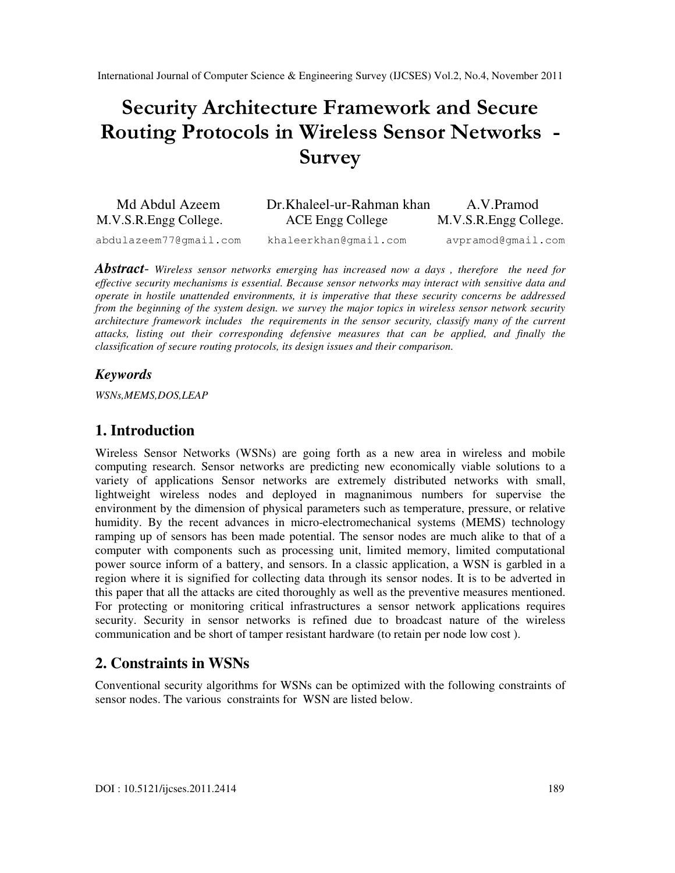# Security Architecture Framework and Secure Routing Protocols in Wireless Sensor Networks - **Survey**

| Md Abdul Azeem         | Dr. Khaleel-ur-Rahman khan | A.V.Pramod             |
|------------------------|----------------------------|------------------------|
| M.V.S.R. Engg College. | <b>ACE Engg College</b>    | M.V.S.R. Engg College. |
| abdulazeem77@qmail.com | khaleerkhan@qmail.com      | avpramod@qmail.com     |

*Abstract*- *Wireless sensor networks emerging has increased now a days , therefore the need for effective security mechanisms is essential. Because sensor networks may interact with sensitive data and operate in hostile unattended environments, it is imperative that these security concerns be addressed from the beginning of the system design. we survey the major topics in wireless sensor network security architecture framework includes the requirements in the sensor security, classify many of the current attacks, listing out their corresponding defensive measures that can be applied, and finally the classification of secure routing protocols, its design issues and their comparison.* 

### *Keywords*

*WSNs,MEMS,DOS,LEAP*

# **1. Introduction**

Wireless Sensor Networks (WSNs) are going forth as a new area in wireless and mobile computing research. Sensor networks are predicting new economically viable solutions to a variety of applications Sensor networks are extremely distributed networks with small, lightweight wireless nodes and deployed in magnanimous numbers for supervise the environment by the dimension of physical parameters such as temperature, pressure, or relative humidity. By the recent advances in micro-electromechanical systems (MEMS) technology ramping up of sensors has been made potential. The sensor nodes are much alike to that of a computer with components such as processing unit, limited memory, limited computational power source inform of a battery, and sensors. In a classic application, a WSN is garbled in a region where it is signified for collecting data through its sensor nodes. It is to be adverted in this paper that all the attacks are cited thoroughly as well as the preventive measures mentioned. For protecting or monitoring critical infrastructures a sensor network applications requires security. Security in sensor networks is refined due to broadcast nature of the wireless communication and be short of tamper resistant hardware (to retain per node low cost ).

# **2. Constraints in WSNs**

Conventional security algorithms for WSNs can be optimized with the following constraints of sensor nodes. The various constraints for WSN are listed below.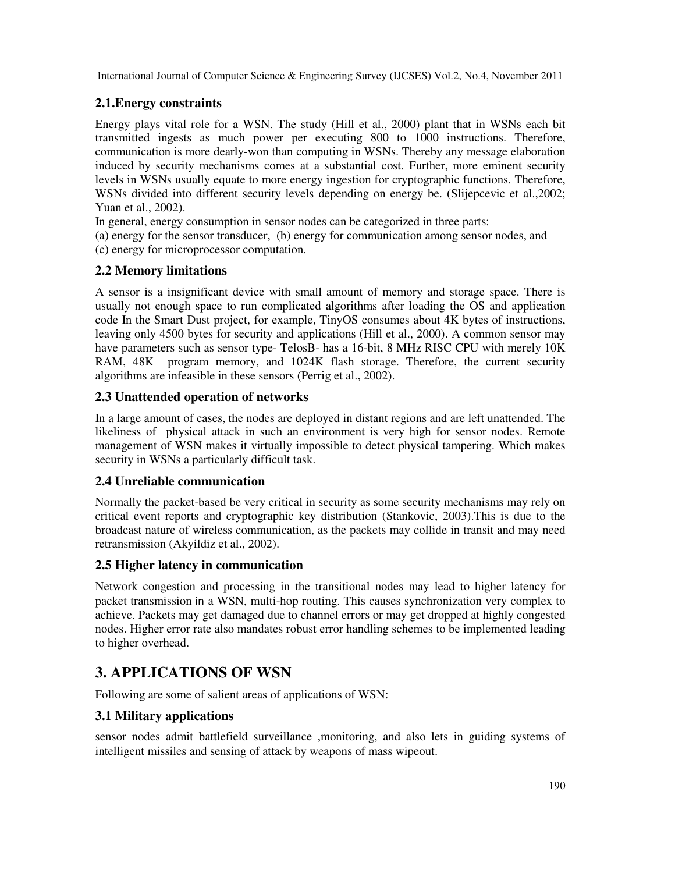# **2.1.Energy constraints**

Energy plays vital role for a WSN. The study (Hill et al., 2000) plant that in WSNs each bit transmitted ingests as much power per executing 800 to 1000 instructions. Therefore, communication is more dearly-won than computing in WSNs. Thereby any message elaboration induced by security mechanisms comes at a substantial cost. Further, more eminent security levels in WSNs usually equate to more energy ingestion for cryptographic functions. Therefore, WSNs divided into different security levels depending on energy be. (Slijepcevic et al., 2002; Yuan et al., 2002).

In general, energy consumption in sensor nodes can be categorized in three parts:

(a) energy for the sensor transducer, (b) energy for communication among sensor nodes, and (c) energy for microprocessor computation.

### **2.2 Memory limitations**

A sensor is a insignificant device with small amount of memory and storage space. There is usually not enough space to run complicated algorithms after loading the OS and application code In the Smart Dust project, for example, TinyOS consumes about 4K bytes of instructions, leaving only 4500 bytes for security and applications (Hill et al., 2000). A common sensor may have parameters such as sensor type- TelosB- has a 16-bit, 8 MHz RISC CPU with merely 10K RAM, 48K program memory, and 1024K flash storage. Therefore, the current security algorithms are infeasible in these sensors (Perrig et al., 2002).

### **2.3 Unattended operation of networks**

In a large amount of cases, the nodes are deployed in distant regions and are left unattended. The likeliness of physical attack in such an environment is very high for sensor nodes. Remote management of WSN makes it virtually impossible to detect physical tampering. Which makes security in WSNs a particularly difficult task.

#### **2.4 Unreliable communication**

Normally the packet-based be very critical in security as some security mechanisms may rely on critical event reports and cryptographic key distribution (Stankovic, 2003).This is due to the broadcast nature of wireless communication, as the packets may collide in transit and may need retransmission (Akyildiz et al., 2002).

#### **2.5 Higher latency in communication**

Network congestion and processing in the transitional nodes may lead to higher latency for packet transmission in a WSN, multi-hop routing. This causes synchronization very complex to achieve. Packets may get damaged due to channel errors or may get dropped at highly congested nodes. Higher error rate also mandates robust error handling schemes to be implemented leading to higher overhead.

# **3. APPLICATIONS OF WSN**

Following are some of salient areas of applications of WSN:

# **3.1 Military applications**

sensor nodes admit battlefield surveillance ,monitoring, and also lets in guiding systems of intelligent missiles and sensing of attack by weapons of mass wipeout.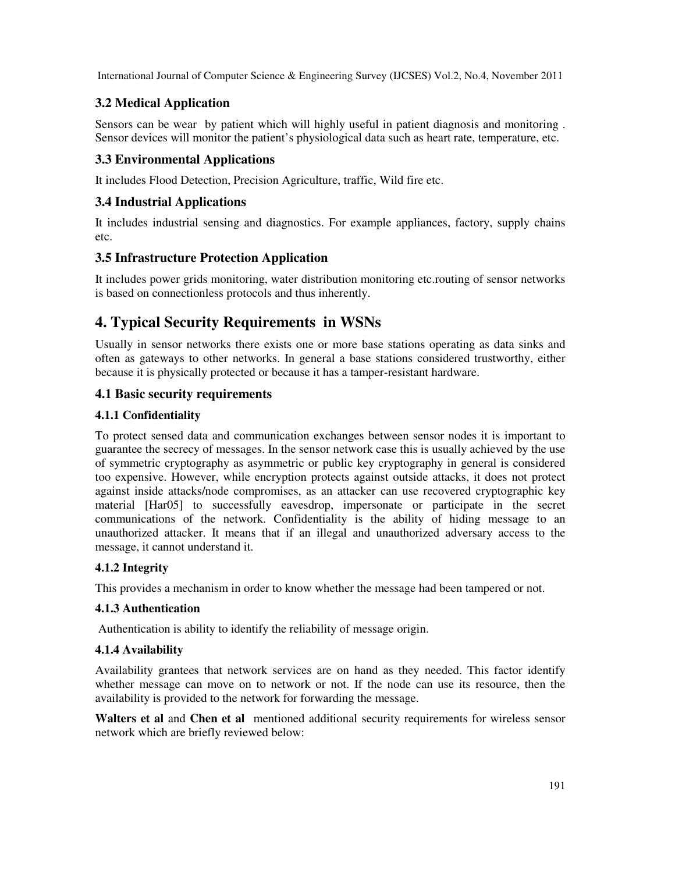# **3.2 Medical Application**

Sensors can be wear by patient which will highly useful in patient diagnosis and monitoring . Sensor devices will monitor the patient's physiological data such as heart rate, temperature, etc.

#### **3.3 Environmental Applications**

It includes Flood Detection, Precision Agriculture, traffic, Wild fire etc.

# **3.4 Industrial Applications**

It includes industrial sensing and diagnostics. For example appliances, factory, supply chains etc.

### **3.5 Infrastructure Protection Application**

It includes power grids monitoring, water distribution monitoring etc.routing of sensor networks is based on connectionless protocols and thus inherently.

# **4. Typical Security Requirements in WSNs**

Usually in sensor networks there exists one or more base stations operating as data sinks and often as gateways to other networks. In general a base stations considered trustworthy, either because it is physically protected or because it has a tamper-resistant hardware.

#### **4.1 Basic security requirements**

#### **4.1.1 Confidentiality**

To protect sensed data and communication exchanges between sensor nodes it is important to guarantee the secrecy of messages. In the sensor network case this is usually achieved by the use of symmetric cryptography as asymmetric or public key cryptography in general is considered too expensive. However, while encryption protects against outside attacks, it does not protect against inside attacks/node compromises, as an attacker can use recovered cryptographic key material [Har05] to successfully eavesdrop, impersonate or participate in the secret communications of the network. Confidentiality is the ability of hiding message to an unauthorized attacker. It means that if an illegal and unauthorized adversary access to the message, it cannot understand it.

#### **4.1.2 Integrity**

This provides a mechanism in order to know whether the message had been tampered or not.

#### **4.1.3 Authentication**

Authentication is ability to identify the reliability of message origin.

#### **4.1.4 Availability**

Availability grantees that network services are on hand as they needed. This factor identify whether message can move on to network or not. If the node can use its resource, then the availability is provided to the network for forwarding the message.

**Walters et al** and **Chen et al** mentioned additional security requirements for wireless sensor network which are briefly reviewed below: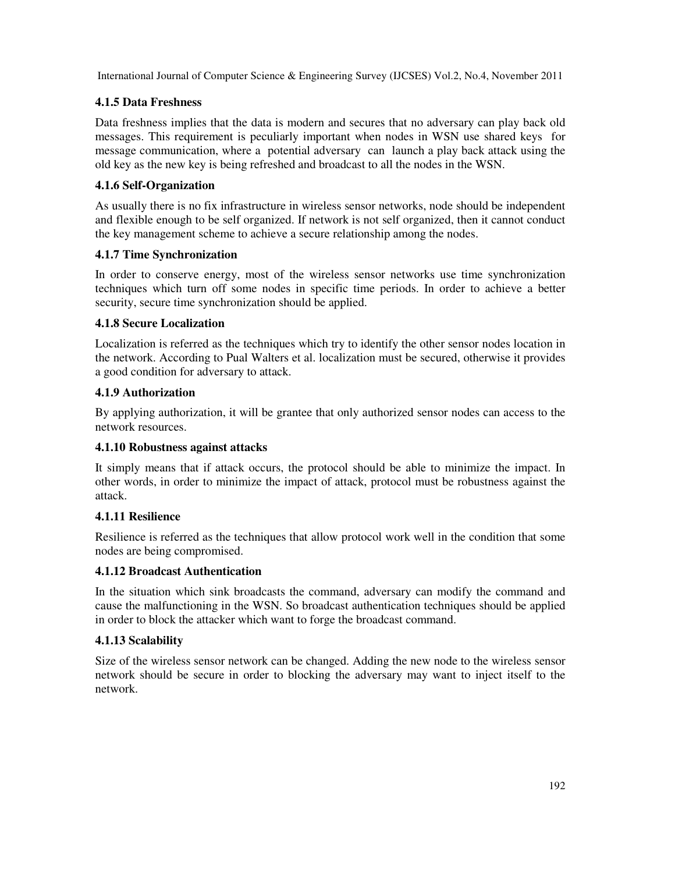#### **4.1.5 Data Freshness**

Data freshness implies that the data is modern and secures that no adversary can play back old messages. This requirement is peculiarly important when nodes in WSN use shared keys for message communication, where a potential adversary can launch a play back attack using the old key as the new key is being refreshed and broadcast to all the nodes in the WSN.

#### **4.1.6 Self-Organization**

As usually there is no fix infrastructure in wireless sensor networks, node should be independent and flexible enough to be self organized. If network is not self organized, then it cannot conduct the key management scheme to achieve a secure relationship among the nodes.

#### **4.1.7 Time Synchronization**

In order to conserve energy, most of the wireless sensor networks use time synchronization techniques which turn off some nodes in specific time periods. In order to achieve a better security, secure time synchronization should be applied.

#### **4.1.8 Secure Localization**

Localization is referred as the techniques which try to identify the other sensor nodes location in the network. According to Pual Walters et al. localization must be secured, otherwise it provides a good condition for adversary to attack.

#### **4.1.9 Authorization**

By applying authorization, it will be grantee that only authorized sensor nodes can access to the network resources.

#### **4.1.10 Robustness against attacks**

It simply means that if attack occurs, the protocol should be able to minimize the impact. In other words, in order to minimize the impact of attack, protocol must be robustness against the attack.

#### **4.1.11 Resilience**

Resilience is referred as the techniques that allow protocol work well in the condition that some nodes are being compromised.

#### **4.1.12 Broadcast Authentication**

In the situation which sink broadcasts the command, adversary can modify the command and cause the malfunctioning in the WSN. So broadcast authentication techniques should be applied in order to block the attacker which want to forge the broadcast command.

#### **4.1.13 Scalability**

Size of the wireless sensor network can be changed. Adding the new node to the wireless sensor network should be secure in order to blocking the adversary may want to inject itself to the network.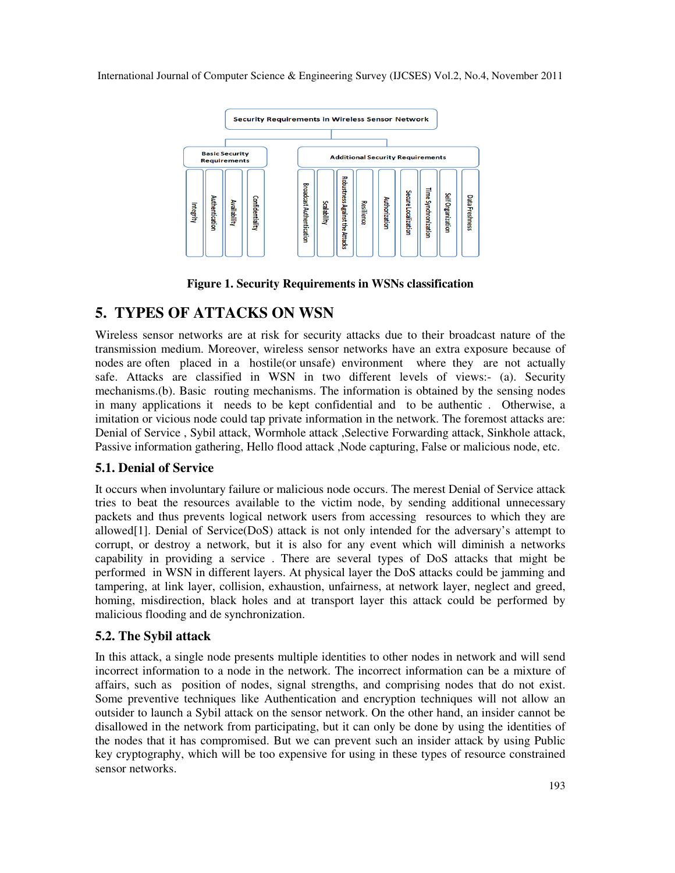

**Figure 1. Security Requirements in WSNs classification** 

# **5. TYPES OF ATTACKS ON WSN**

Wireless sensor networks are at risk for security attacks due to their broadcast nature of the transmission medium. Moreover, wireless sensor networks have an extra exposure because of nodes are often placed in a hostile(or unsafe) environment where they are not actually safe. Attacks are classified in WSN in two different levels of views:- (a). Security mechanisms.(b). Basic routing mechanisms. The information is obtained by the sensing nodes in many applications it needs to be kept confidential and to be authentic . Otherwise, a imitation or vicious node could tap private information in the network. The foremost attacks are: Denial of Service , Sybil attack, Wormhole attack ,Selective Forwarding attack, Sinkhole attack, Passive information gathering, Hello flood attack ,Node capturing, False or malicious node, etc.

# **5.1. Denial of Service**

It occurs when involuntary failure or malicious node occurs. The merest Denial of Service attack tries to beat the resources available to the victim node, by sending additional unnecessary packets and thus prevents logical network users from accessing resources to which they are allowed[1]. Denial of Service(DoS) attack is not only intended for the adversary's attempt to corrupt, or destroy a network, but it is also for any event which will diminish a networks capability in providing a service . There are several types of DoS attacks that might be performed in WSN in different layers. At physical layer the DoS attacks could be jamming and tampering, at link layer, collision, exhaustion, unfairness, at network layer, neglect and greed, homing, misdirection, black holes and at transport layer this attack could be performed by malicious flooding and de synchronization.

# **5.2. The Sybil attack**

In this attack, a single node presents multiple identities to other nodes in network and will send incorrect information to a node in the network. The incorrect information can be a mixture of affairs, such as position of nodes, signal strengths, and comprising nodes that do not exist. Some preventive techniques like Authentication and encryption techniques will not allow an outsider to launch a Sybil attack on the sensor network. On the other hand, an insider cannot be disallowed in the network from participating, but it can only be done by using the identities of the nodes that it has compromised. But we can prevent such an insider attack by using Public key cryptography, which will be too expensive for using in these types of resource constrained sensor networks.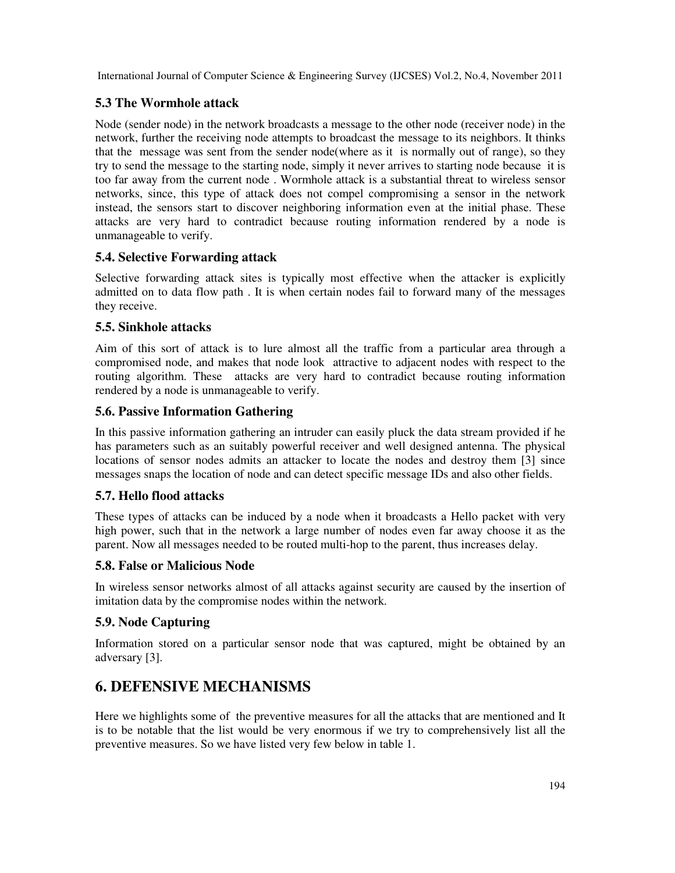### **5.3 The Wormhole attack**

Node (sender node) in the network broadcasts a message to the other node (receiver node) in the network, further the receiving node attempts to broadcast the message to its neighbors. It thinks that the message was sent from the sender node(where as it is normally out of range), so they try to send the message to the starting node, simply it never arrives to starting node because it is too far away from the current node . Wormhole attack is a substantial threat to wireless sensor networks, since, this type of attack does not compel compromising a sensor in the network instead, the sensors start to discover neighboring information even at the initial phase. These attacks are very hard to contradict because routing information rendered by a node is unmanageable to verify.

#### **5.4. Selective Forwarding attack**

Selective forwarding attack sites is typically most effective when the attacker is explicitly admitted on to data flow path . It is when certain nodes fail to forward many of the messages they receive.

#### **5.5. Sinkhole attacks**

Aim of this sort of attack is to lure almost all the traffic from a particular area through a compromised node, and makes that node look attractive to adjacent nodes with respect to the routing algorithm. These attacks are very hard to contradict because routing information rendered by a node is unmanageable to verify.

#### **5.6. Passive Information Gathering**

In this passive information gathering an intruder can easily pluck the data stream provided if he has parameters such as an suitably powerful receiver and well designed antenna. The physical locations of sensor nodes admits an attacker to locate the nodes and destroy them [3] since messages snaps the location of node and can detect specific message IDs and also other fields.

#### **5.7. Hello flood attacks**

These types of attacks can be induced by a node when it broadcasts a Hello packet with very high power, such that in the network a large number of nodes even far away choose it as the parent. Now all messages needed to be routed multi-hop to the parent, thus increases delay.

#### **5.8. False or Malicious Node**

In wireless sensor networks almost of all attacks against security are caused by the insertion of imitation data by the compromise nodes within the network.

#### **5.9. Node Capturing**

Information stored on a particular sensor node that was captured, might be obtained by an adversary [3].

# **6. DEFENSIVE MECHANISMS**

Here we highlights some of the preventive measures for all the attacks that are mentioned and It is to be notable that the list would be very enormous if we try to comprehensively list all the preventive measures. So we have listed very few below in table 1.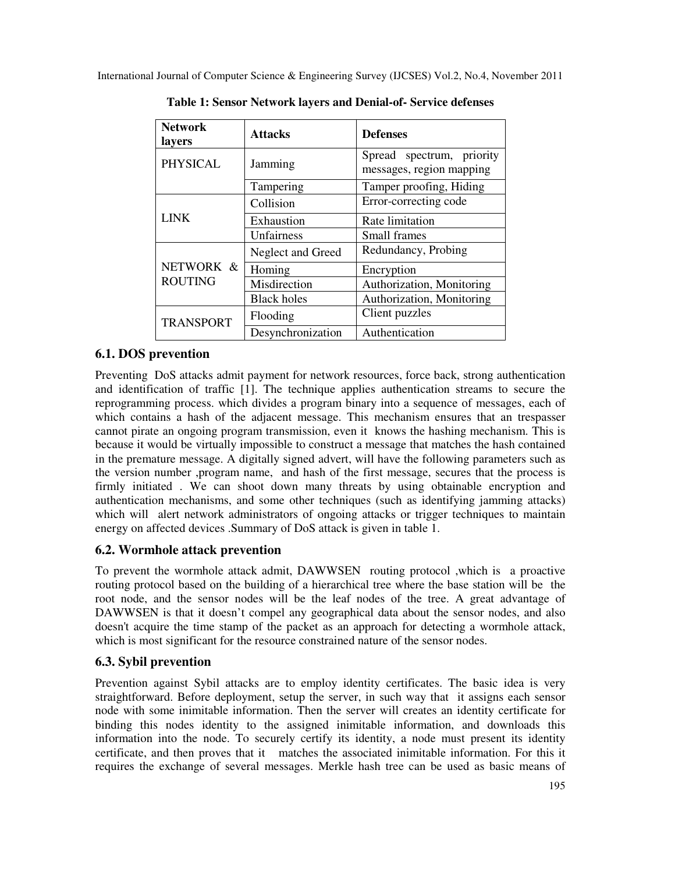| <b>Network</b><br>layers                                                                                                                               | <b>Attacks</b>    | <b>Defenses</b>                                       |  |  |
|--------------------------------------------------------------------------------------------------------------------------------------------------------|-------------------|-------------------------------------------------------|--|--|
| <b>PHYSICAL</b>                                                                                                                                        | Jamming           | Spread spectrum, priority<br>messages, region mapping |  |  |
|                                                                                                                                                        | Tampering         | Tamper proofing, Hiding                               |  |  |
|                                                                                                                                                        | Collision         | Error-correcting code                                 |  |  |
| <b>LINK</b><br>Exhaustion<br>Unfairness<br>NETWORK &<br>Homing<br><b>ROUTING</b><br>Misdirection<br><b>Black holes</b><br>Flooding<br><b>TRANSPORT</b> |                   | Rate limitation                                       |  |  |
|                                                                                                                                                        |                   | Small frames                                          |  |  |
|                                                                                                                                                        | Neglect and Greed | Redundancy, Probing                                   |  |  |
|                                                                                                                                                        |                   | Encryption                                            |  |  |
|                                                                                                                                                        |                   | Authorization, Monitoring                             |  |  |
|                                                                                                                                                        |                   | Authorization, Monitoring                             |  |  |
|                                                                                                                                                        |                   | Client puzzles                                        |  |  |
|                                                                                                                                                        | Desynchronization | Authentication                                        |  |  |

**Table 1: Sensor Network layers and Denial-of- Service defenses** 

#### **6.1. DOS prevention**

Preventing DoS attacks admit payment for network resources, force back, strong authentication and identification of traffic [1]. The technique applies authentication streams to secure the reprogramming process. which divides a program binary into a sequence of messages, each of which contains a hash of the adjacent message. This mechanism ensures that an trespasser cannot pirate an ongoing program transmission, even it knows the hashing mechanism. This is because it would be virtually impossible to construct a message that matches the hash contained in the premature message. A digitally signed advert, will have the following parameters such as the version number ,program name, and hash of the first message, secures that the process is firmly initiated . We can shoot down many threats by using obtainable encryption and authentication mechanisms, and some other techniques (such as identifying jamming attacks) which will alert network administrators of ongoing attacks or trigger techniques to maintain energy on affected devices .Summary of DoS attack is given in table 1.

#### **6.2. Wormhole attack prevention**

To prevent the wormhole attack admit, DAWWSEN routing protocol ,which is a proactive routing protocol based on the building of a hierarchical tree where the base station will be the root node, and the sensor nodes will be the leaf nodes of the tree. A great advantage of DAWWSEN is that it doesn't compel any geographical data about the sensor nodes, and also doesn't acquire the time stamp of the packet as an approach for detecting a wormhole attack, which is most significant for the resource constrained nature of the sensor nodes.

#### **6.3. Sybil prevention**

Prevention against Sybil attacks are to employ identity certificates. The basic idea is very straightforward. Before deployment, setup the server, in such way that it assigns each sensor node with some inimitable information. Then the server will creates an identity certificate for binding this nodes identity to the assigned inimitable information, and downloads this information into the node. To securely certify its identity, a node must present its identity certificate, and then proves that it matches the associated inimitable information. For this it requires the exchange of several messages. Merkle hash tree can be used as basic means of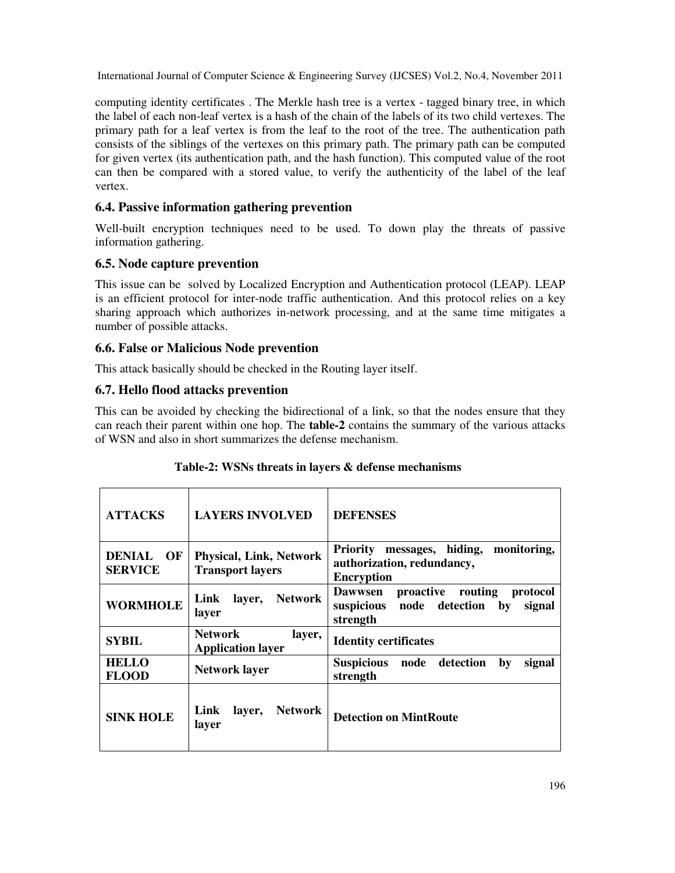computing identity certificates . The Merkle hash tree is a vertex - tagged binary tree, in which the label of each non-leaf vertex is a hash of the chain of the labels of its two child vertexes. The primary path for a leaf vertex is from the leaf to the root of the tree. The authentication path consists of the siblings of the vertexes on this primary path. The primary path can be computed for given vertex (its authentication path, and the hash function). This computed value of the root can then be compared with a stored value, to verify the authenticity of the label of the leaf vertex.

### **6.4. Passive information gathering prevention**

Well-built encryption techniques need to be used. To down play the threats of passive information gathering.

### **6.5. Node capture prevention**

This issue can be solved by Localized Encryption and Authentication protocol (LEAP). LEAP is an efficient protocol for inter-node traffic authentication. And this protocol relies on a key sharing approach which authorizes in-network processing, and at the same time mitigates a number of possible attacks.

#### **6.6. False or Malicious Node prevention**

This attack basically should be checked in the Routing layer itself.

# **6.7. Hello flood attacks prevention**

This can be avoided by checking the bidirectional of a link, so that the nodes ensure that they can reach their parent within one hop. The **table-2** contains the summary of the various attacks of WSN and also in short summarizes the defense mechanism.

| <b>ATTACKS</b>               | <b>LAYERS INVOLVED</b>                                    | <b>DEFENSES</b>                                                                                        |
|------------------------------|-----------------------------------------------------------|--------------------------------------------------------------------------------------------------------|
| DENIAL OF<br><b>SERVICE</b>  | <b>Physical, Link, Network</b><br><b>Transport layers</b> | <b>Priority</b><br>messages, hiding,<br>monitoring,<br>authorization, redundancy,<br><b>Encryption</b> |
| <b>WORMHOLE</b>              | Link<br><b>Network</b><br>layer,<br>layer                 | proactive routing<br><b>Dawwsen</b><br>protocol<br>suspicious node detection by<br>signal<br>strength  |
| <b>SYBIL</b>                 | <b>Network</b><br>layer,<br><b>Application layer</b>      | <b>Identity certificates</b>                                                                           |
| <b>HELLO</b><br><b>FLOOD</b> | <b>Network layer</b>                                      | Suspicious node detection<br>signal<br>by<br>strength                                                  |
| <b>SINK HOLE</b>             | Link<br>Network<br>layer,<br>layer                        | <b>Detection on MintRoute</b>                                                                          |

#### **Table-2: WSNs threats in layers & defense mechanisms**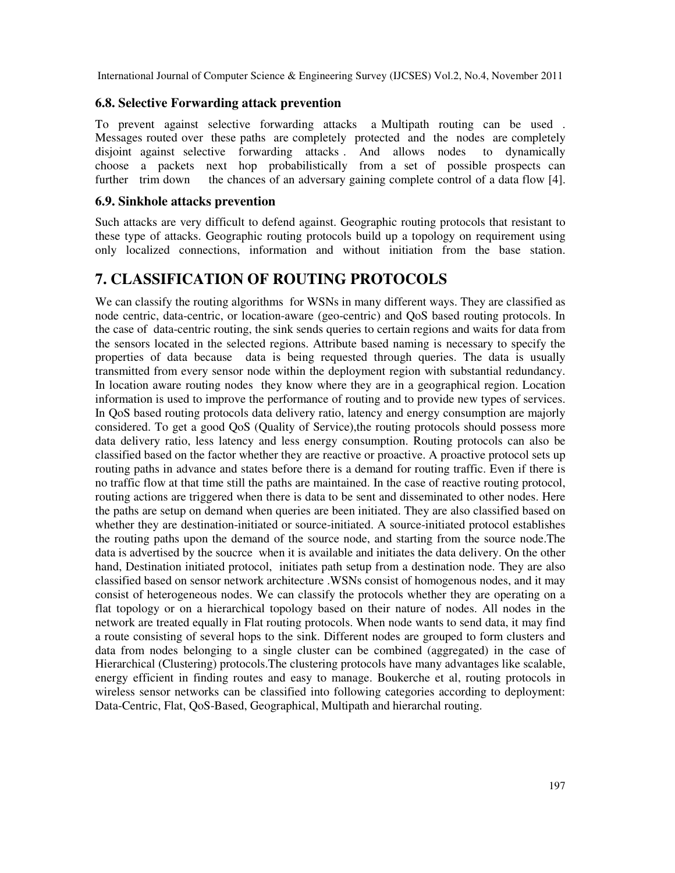#### **6.8. Selective Forwarding attack prevention**

To prevent against selective forwarding attacks a Multipath routing can be used . Messages routed over these paths are completely protected and the nodes are completely disjoint against selective forwarding attacks . And allows nodes to dynamically choose a packets next hop probabilistically from a set of possible prospects can further trim down the chances of an adversary gaining complete control of a data flow [4].

#### **6.9. Sinkhole attacks prevention**

Such attacks are very difficult to defend against. Geographic routing protocols that resistant to these type of attacks. Geographic routing protocols build up a topology on requirement using only localized connections, information and without initiation from the base station.

# **7. CLASSIFICATION OF ROUTING PROTOCOLS**

We can classify the routing algorithms for WSNs in many different ways. They are classified as node centric, data-centric, or location-aware (geo-centric) and QoS based routing protocols. In the case of data-centric routing, the sink sends queries to certain regions and waits for data from the sensors located in the selected regions. Attribute based naming is necessary to specify the properties of data because data is being requested through queries. The data is usually transmitted from every sensor node within the deployment region with substantial redundancy. In location aware routing nodes they know where they are in a geographical region. Location information is used to improve the performance of routing and to provide new types of services. In QoS based routing protocols data delivery ratio, latency and energy consumption are majorly considered. To get a good QoS (Quality of Service),the routing protocols should possess more data delivery ratio, less latency and less energy consumption. Routing protocols can also be classified based on the factor whether they are reactive or proactive. A proactive protocol sets up routing paths in advance and states before there is a demand for routing traffic. Even if there is no traffic flow at that time still the paths are maintained. In the case of reactive routing protocol, routing actions are triggered when there is data to be sent and disseminated to other nodes. Here the paths are setup on demand when queries are been initiated. They are also classified based on whether they are destination-initiated or source-initiated. A source-initiated protocol establishes the routing paths upon the demand of the source node, and starting from the source node.The data is advertised by the soucrce when it is available and initiates the data delivery. On the other hand, Destination initiated protocol, initiates path setup from a destination node. They are also classified based on sensor network architecture .WSNs consist of homogenous nodes, and it may consist of heterogeneous nodes. We can classify the protocols whether they are operating on a flat topology or on a hierarchical topology based on their nature of nodes. All nodes in the network are treated equally in Flat routing protocols. When node wants to send data, it may find a route consisting of several hops to the sink. Different nodes are grouped to form clusters and data from nodes belonging to a single cluster can be combined (aggregated) in the case of Hierarchical (Clustering) protocols.The clustering protocols have many advantages like scalable, energy efficient in finding routes and easy to manage. Boukerche et al, routing protocols in wireless sensor networks can be classified into following categories according to deployment: Data-Centric, Flat, QoS-Based, Geographical, Multipath and hierarchal routing.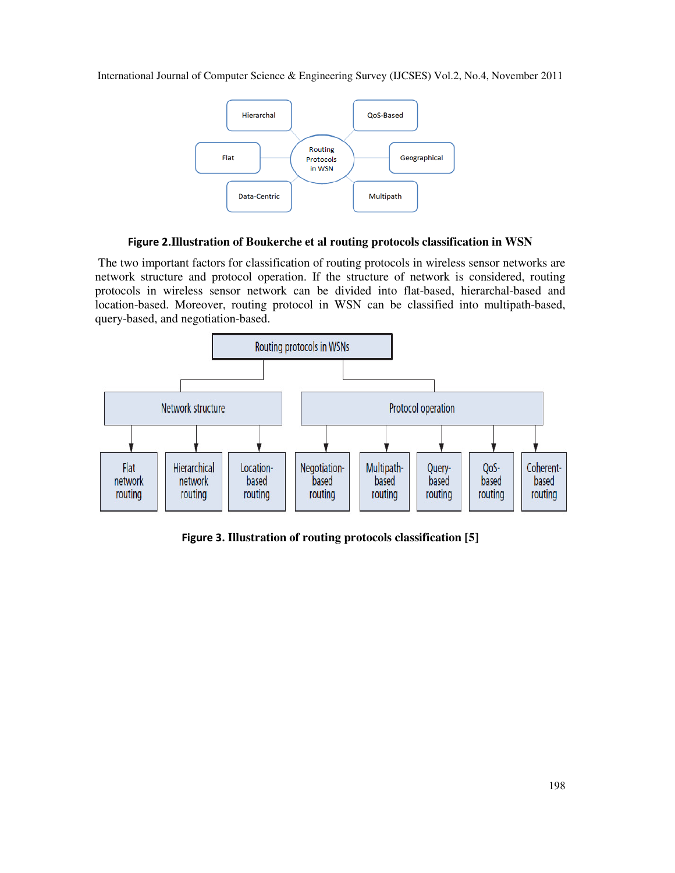

#### Figure 2.**Illustration of Boukerche et al routing protocols classification in WSN**

 The two important factors for classification of routing protocols in wireless sensor networks are network structure and protocol operation. If the structure of network is considered, routing protocols in wireless sensor network can be divided into flat-based, hierarchal-based and location-based. Moreover, routing protocol in WSN can be classified into multipath-based, query-based, and negotiation-based.



Figure 3. **Illustration of routing protocols classification [5]**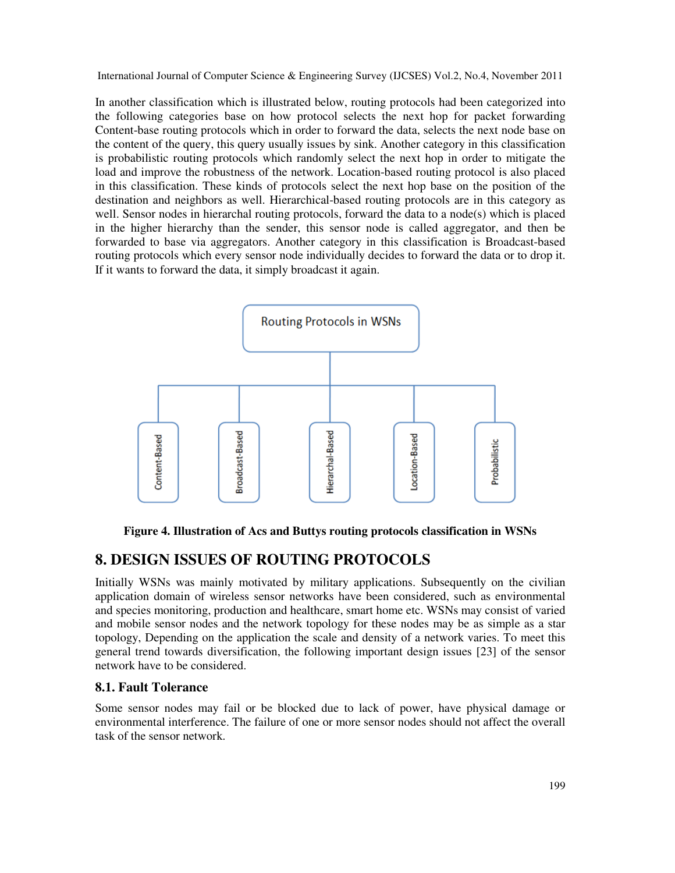In another classification which is illustrated below, routing protocols had been categorized into the following categories base on how protocol selects the next hop for packet forwarding Content-base routing protocols which in order to forward the data, selects the next node base on the content of the query, this query usually issues by sink. Another category in this classification is probabilistic routing protocols which randomly select the next hop in order to mitigate the load and improve the robustness of the network. Location-based routing protocol is also placed in this classification. These kinds of protocols select the next hop base on the position of the destination and neighbors as well. Hierarchical-based routing protocols are in this category as well. Sensor nodes in hierarchal routing protocols, forward the data to a node(s) which is placed in the higher hierarchy than the sender, this sensor node is called aggregator, and then be forwarded to base via aggregators. Another category in this classification is Broadcast-based routing protocols which every sensor node individually decides to forward the data or to drop it. If it wants to forward the data, it simply broadcast it again.



**Figure 4. Illustration of Acs and Buttys routing protocols classification in WSNs** 

# **8. DESIGN ISSUES OF ROUTING PROTOCOLS**

Initially WSNs was mainly motivated by military applications. Subsequently on the civilian application domain of wireless sensor networks have been considered, such as environmental and species monitoring, production and healthcare, smart home etc. WSNs may consist of varied and mobile sensor nodes and the network topology for these nodes may be as simple as a star topology, Depending on the application the scale and density of a network varies. To meet this general trend towards diversification, the following important design issues [23] of the sensor network have to be considered.

#### **8.1. Fault Tolerance**

Some sensor nodes may fail or be blocked due to lack of power, have physical damage or environmental interference. The failure of one or more sensor nodes should not affect the overall task of the sensor network.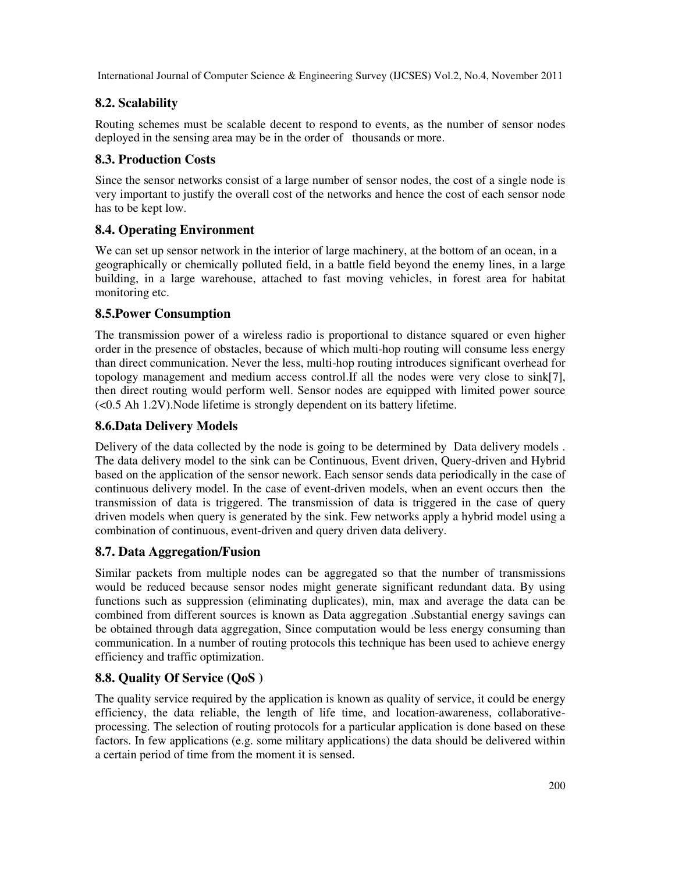# **8.2. Scalability**

Routing schemes must be scalable decent to respond to events, as the number of sensor nodes deployed in the sensing area may be in the order of thousands or more.

# **8.3. Production Costs**

Since the sensor networks consist of a large number of sensor nodes, the cost of a single node is very important to justify the overall cost of the networks and hence the cost of each sensor node has to be kept low.

# **8.4. Operating Environment**

We can set up sensor network in the interior of large machinery, at the bottom of an ocean, in a geographically or chemically polluted field, in a battle field beyond the enemy lines, in a large building, in a large warehouse, attached to fast moving vehicles, in forest area for habitat monitoring etc.

# **8.5.Power Consumption**

The transmission power of a wireless radio is proportional to distance squared or even higher order in the presence of obstacles, because of which multi-hop routing will consume less energy than direct communication. Never the less, multi-hop routing introduces significant overhead for topology management and medium access control.If all the nodes were very close to sink[7], then direct routing would perform well. Sensor nodes are equipped with limited power source (<0.5 Ah 1.2V).Node lifetime is strongly dependent on its battery lifetime.

# **8.6.Data Delivery Models**

Delivery of the data collected by the node is going to be determined by Data delivery models . The data delivery model to the sink can be Continuous, Event driven, Query-driven and Hybrid based on the application of the sensor nework. Each sensor sends data periodically in the case of continuous delivery model. In the case of event-driven models, when an event occurs then the transmission of data is triggered. The transmission of data is triggered in the case of query driven models when query is generated by the sink. Few networks apply a hybrid model using a combination of continuous, event-driven and query driven data delivery.

# **8.7. Data Aggregation/Fusion**

Similar packets from multiple nodes can be aggregated so that the number of transmissions would be reduced because sensor nodes might generate significant redundant data. By using functions such as suppression (eliminating duplicates), min, max and average the data can be combined from different sources is known as Data aggregation .Substantial energy savings can be obtained through data aggregation, Since computation would be less energy consuming than communication. In a number of routing protocols this technique has been used to achieve energy efficiency and traffic optimization.

# **8.8. Quality Of Service (QoS )**

The quality service required by the application is known as quality of service, it could be energy efficiency, the data reliable, the length of life time, and location-awareness, collaborativeprocessing. The selection of routing protocols for a particular application is done based on these factors. In few applications (e.g. some military applications) the data should be delivered within a certain period of time from the moment it is sensed.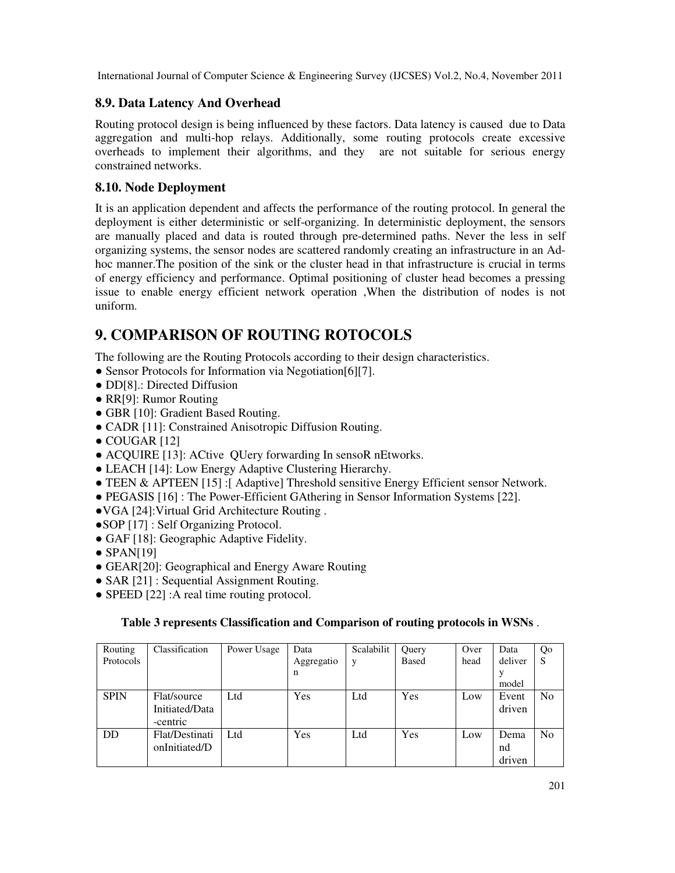# **8.9. Data Latency And Overhead**

Routing protocol design is being influenced by these factors. Data latency is caused due to Data aggregation and multi-hop relays. Additionally, some routing protocols create excessive overheads to implement their algorithms, and they are not suitable for serious energy constrained networks.

# **8.10. Node Deployment**

It is an application dependent and affects the performance of the routing protocol. In general the deployment is either deterministic or self-organizing. In deterministic deployment, the sensors are manually placed and data is routed through pre-determined paths. Never the less in self organizing systems, the sensor nodes are scattered randomly creating an infrastructure in an Adhoc manner.The position of the sink or the cluster head in that infrastructure is crucial in terms of energy efficiency and performance. Optimal positioning of cluster head becomes a pressing issue to enable energy efficient network operation ,When the distribution of nodes is not uniform.

# **9. COMPARISON OF ROUTING ROTOCOLS**

The following are the Routing Protocols according to their design characteristics.

- Sensor Protocols for Information via Negotiation[6][7].
- DD[8].: Directed Diffusion
- RR[9]: Rumor Routing
- GBR [10]: Gradient Based Routing.
- CADR [11]: Constrained Anisotropic Diffusion Routing.
- $\bullet$  COUGAR [12]
- ACQUIRE [13]: ACtive QUery forwarding In sensoR nEtworks.
- LEACH [14]: Low Energy Adaptive Clustering Hierarchy.
- TEEN & APTEEN [15] : [ Adaptive] Threshold sensitive Energy Efficient sensor Network.
- PEGASIS [16] : The Power-Efficient GAthering in Sensor Information Systems [22].
- ●VGA [24]:Virtual Grid Architecture Routing .
- ●SOP [17] : Self Organizing Protocol.
- GAF [18]: Geographic Adaptive Fidelity.
- $\bullet$  SPAN[19]
- GEAR[20]: Geographical and Energy Aware Routing
- SAR [21] : Sequential Assignment Routing.
- SPEED [22] : A real time routing protocol.

#### **Table 3 represents Classification and Comparison of routing protocols in WSNs** .

| Routing<br>Protocols | Classification                            | Power Usage | Data<br>Aggregatio<br>n | Scalabilit<br>v | Query<br><b>Based</b> | Over<br>head | Data<br>deliver<br>model | Qo<br>S        |
|----------------------|-------------------------------------------|-------------|-------------------------|-----------------|-----------------------|--------------|--------------------------|----------------|
| <b>SPIN</b>          | Flat/source<br>Initiated/Data<br>-centric | Ltd         | Yes                     | Ltd             | Yes                   | Low          | Event<br>driven          | N <sub>o</sub> |
| DD                   | Flat/Destinati<br>onInitiated/D           | Ltd         | Yes                     | Ltd             | Yes                   | Low          | Dema<br>nd<br>driven     | N <sub>o</sub> |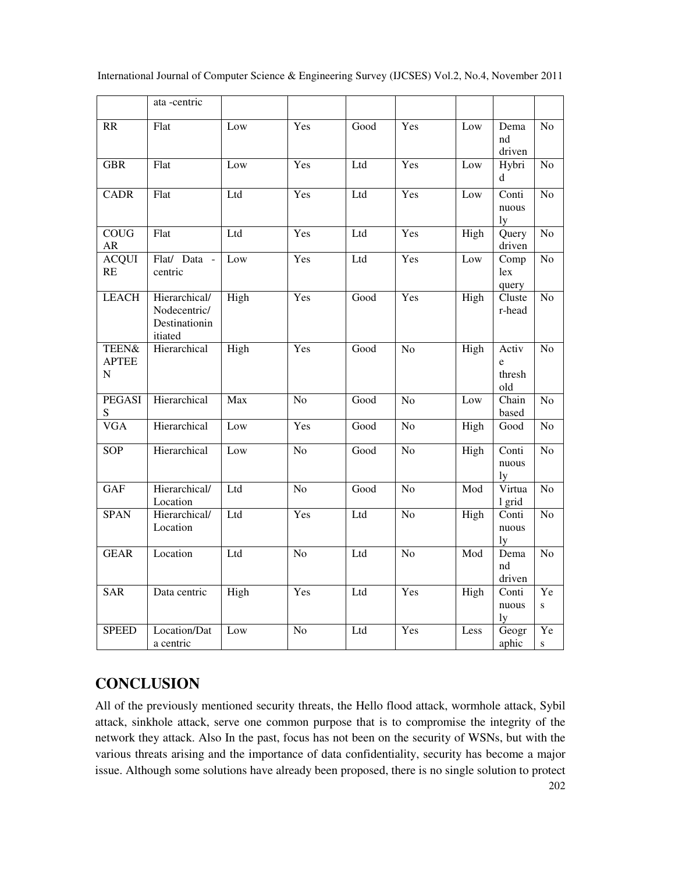|                                       | ata -centric                                              |      |                 |      |                 |      |                             |                 |
|---------------------------------------|-----------------------------------------------------------|------|-----------------|------|-----------------|------|-----------------------------|-----------------|
| RR                                    | Flat                                                      | Low  | Yes             | Good | Yes             | Low  | Dema<br>nd<br>driven        | N <sub>o</sub>  |
| <b>GBR</b>                            | Flat                                                      | Low  | Yes             | Ltd  | Yes             | Low  | Hybri<br>d                  | N <sub>o</sub>  |
| <b>CADR</b>                           | Flat                                                      | Ltd  | Yes             | Ltd  | Yes             | Low  | Conti<br>nuous<br>ly        | $\overline{No}$ |
| <b>COUG</b><br>AR                     | Flat                                                      | Ltd  | Yes             | Ltd  | Yes             | High | Query<br>driven             | N <sub>o</sub>  |
| <b>ACQUI</b><br>RE                    | Flat/ Data -<br>centric                                   | Low  | Yes             | Ltd  | Yes             | Low  | Comp<br>lex<br>query        | No              |
| <b>LEACH</b>                          | Hierarchical/<br>Nodecentric/<br>Destinationin<br>itiated | High | Yes             | Good | Yes             | High | Cluste<br>r-head            | No              |
| <b>TEEN&amp;</b><br><b>APTEE</b><br>N | Hierarchical                                              | High | Yes             | Good | N <sub>o</sub>  | High | Activ<br>e<br>thresh<br>old | No              |
| <b>PEGASI</b><br>S                    | Hierarchical                                              | Max  | No              | Good | N <sub>o</sub>  | Low  | Chain<br>based              | N <sub>o</sub>  |
| <b>VGA</b>                            | Hierarchical                                              | Low  | Yes             | Good | N <sub>o</sub>  | High | Good                        | N <sub>o</sub>  |
| <b>SOP</b>                            | Hierarchical                                              | Low  | $\overline{No}$ | Good | No              | High | Conti<br>nuous<br>1y        | $\overline{No}$ |
| $\overline{\text{GAF}}$               | Hierarchical/<br>Location                                 | Ltd  | N <sub>o</sub>  | Good | $\overline{No}$ | Mod  | Virtua<br>1 grid            | $\overline{No}$ |
| <b>SPAN</b>                           | Hierarchical/<br>Location                                 | Ltd  | Yes             | Ltd  | $\overline{No}$ | High | Conti<br>nuous<br>ly        | $\overline{No}$ |
| <b>GEAR</b>                           | Location                                                  | Ltd  | No              | Ltd  | $\overline{No}$ | Mod  | Dema<br>nd<br>driven        | $\overline{No}$ |
| <b>SAR</b>                            | Data centric                                              | High | Yes             | Ltd  | Yes             | High | Conti<br>nuous<br>ly        | Ye<br>S         |
| <b>SPEED</b>                          | Location/Dat<br>a centric                                 | Low  | $\overline{No}$ | Ltd  | Yes             | Less | Geogr<br>aphic              | Ye<br>S         |

# **CONCLUSION**

All of the previously mentioned security threats, the Hello flood attack, wormhole attack, Sybil attack, sinkhole attack, serve one common purpose that is to compromise the integrity of the network they attack. Also In the past, focus has not been on the security of WSNs, but with the various threats arising and the importance of data confidentiality, security has become a major issue. Although some solutions have already been proposed, there is no single solution to protect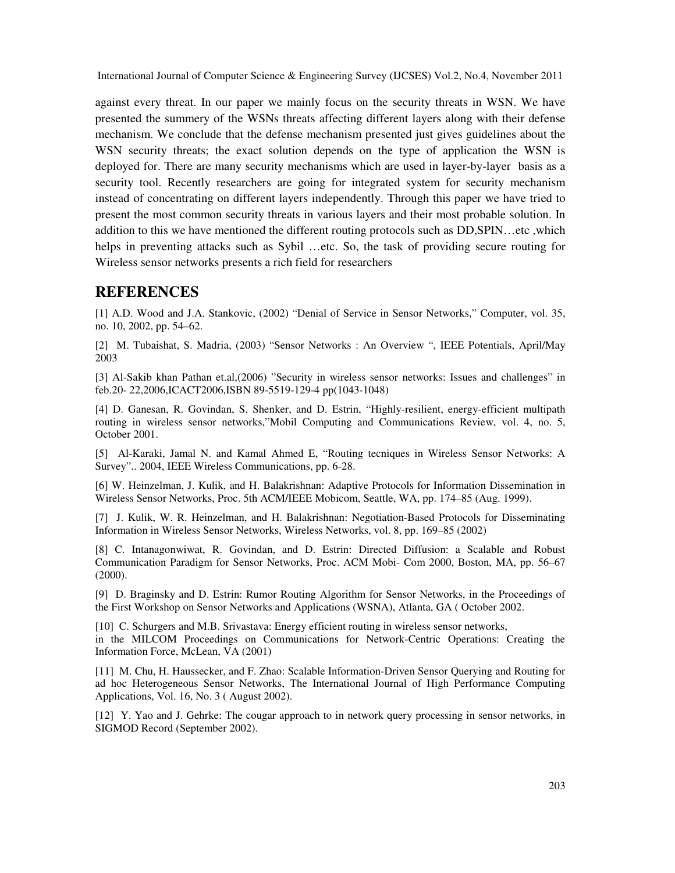against every threat. In our paper we mainly focus on the security threats in WSN. We have presented the summery of the WSNs threats affecting different layers along with their defense mechanism. We conclude that the defense mechanism presented just gives guidelines about the WSN security threats; the exact solution depends on the type of application the WSN is deployed for. There are many security mechanisms which are used in layer-by-layer basis as a security tool. Recently researchers are going for integrated system for security mechanism instead of concentrating on different layers independently. Through this paper we have tried to present the most common security threats in various layers and their most probable solution. In addition to this we have mentioned the different routing protocols such as DD,SPIN…etc ,which helps in preventing attacks such as Sybil …etc. So, the task of providing secure routing for Wireless sensor networks presents a rich field for researchers

# **REFERENCES**

[1] A.D. Wood and J.A. Stankovic, (2002) "Denial of Service in Sensor Networks," Computer, vol. 35, no. 10, 2002, pp. 54–62.

[2] M. Tubaishat, S. Madria, (2003) "Sensor Networks : An Overview ", IEEE Potentials, April/May 2003

[3] Al-Sakib khan Pathan et.al,(2006) "Security in wireless sensor networks: Issues and challenges" in feb.20- 22,2006,ICACT2006,ISBN 89-5519-129-4 pp(1043-1048)

[4] D. Ganesan, R. Govindan, S. Shenker, and D. Estrin, "Highly-resilient, energy-efficient multipath routing in wireless sensor networks,"Mobil Computing and Communications Review, vol. 4, no. 5, October 2001.

[5] Al-Karaki, Jamal N. and Kamal Ahmed E, "Routing tecniques in Wireless Sensor Networks: A Survey".. 2004, IEEE Wireless Communications, pp. 6-28.

[6] W. Heinzelman, J. Kulik, and H. Balakrishnan: Adaptive Protocols for Information Dissemination in Wireless Sensor Networks, Proc. 5th ACM/IEEE Mobicom, Seattle, WA, pp. 174–85 (Aug. 1999).

[7] J. Kulik, W. R. Heinzelman, and H. Balakrishnan: Negotiation-Based Protocols for Disseminating Information in Wireless Sensor Networks, Wireless Networks, vol. 8, pp. 169–85 (2002)

[8] C. Intanagonwiwat, R. Govindan, and D. Estrin: Directed Diffusion: a Scalable and Robust Communication Paradigm for Sensor Networks, Proc. ACM Mobi- Com 2000, Boston, MA, pp. 56–67 (2000).

[9] D. Braginsky and D. Estrin: Rumor Routing Algorithm for Sensor Networks, in the Proceedings of the First Workshop on Sensor Networks and Applications (WSNA), Atlanta, GA ( October 2002.

[10] C. Schurgers and M.B. Srivastava: Energy efficient routing in wireless sensor networks, in the MILCOM Proceedings on Communications for Network-Centric Operations: Creating the Information Force, McLean, VA (2001)

[11] M. Chu, H. Haussecker, and F. Zhao: Scalable Information-Driven Sensor Querying and Routing for ad hoc Heterogeneous Sensor Networks, The International Journal of High Performance Computing Applications, Vol. 16, No. 3 ( August 2002).

[12] Y. Yao and J. Gehrke: The cougar approach to in network query processing in sensor networks, in SIGMOD Record (September 2002).